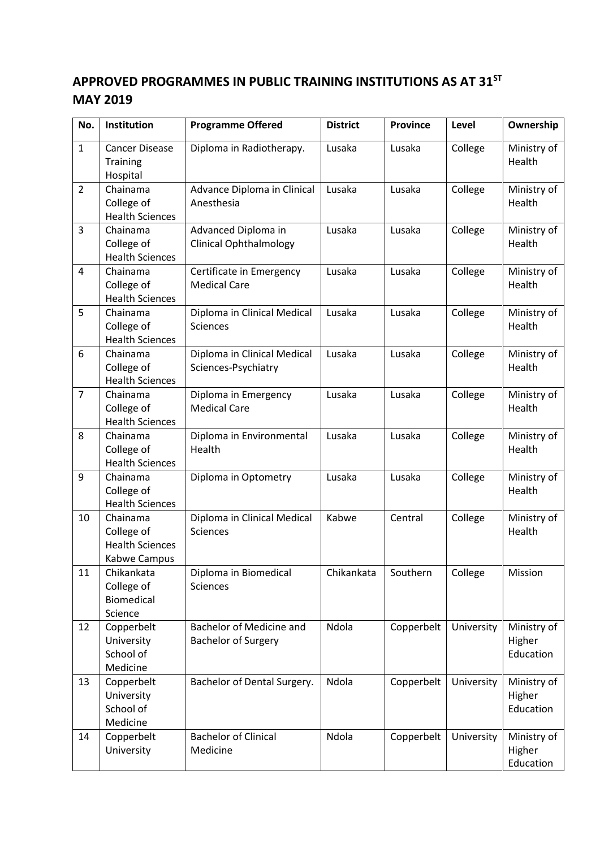## **APPROVED PROGRAMMES IN PUBLIC TRAINING INSTITUTIONS AS AT 31ST MAY 2019**

| No.            | Institution                                                      | <b>Programme Offered</b>                               |            | <b>Province</b> | Level      | Ownership                          |
|----------------|------------------------------------------------------------------|--------------------------------------------------------|------------|-----------------|------------|------------------------------------|
| $\mathbf{1}$   | <b>Cancer Disease</b><br>Training<br>Hospital                    | Diploma in Radiotherapy.                               | Lusaka     | Lusaka          | College    | Ministry of<br>Health              |
| $\overline{2}$ | Chainama<br>College of<br><b>Health Sciences</b>                 | Advance Diploma in Clinical<br>Anesthesia              | Lusaka     | Lusaka          | College    | Ministry of<br>Health              |
| 3              | Chainama<br>College of<br><b>Health Sciences</b>                 | Advanced Diploma in<br><b>Clinical Ophthalmology</b>   | Lusaka     | Lusaka          | College    | Ministry of<br>Health              |
| 4              | Chainama<br>College of<br><b>Health Sciences</b>                 | Certificate in Emergency<br><b>Medical Care</b>        | Lusaka     | Lusaka          | College    | Ministry of<br>Health              |
| 5              | Chainama<br>College of<br><b>Health Sciences</b>                 | Diploma in Clinical Medical<br><b>Sciences</b>         | Lusaka     | Lusaka          | College    | Ministry of<br>Health              |
| 6              | Chainama<br>College of<br><b>Health Sciences</b>                 | Diploma in Clinical Medical<br>Sciences-Psychiatry     | Lusaka     | Lusaka          | College    | Ministry of<br>Health              |
| $\overline{7}$ | Chainama<br>College of<br><b>Health Sciences</b>                 | Diploma in Emergency<br><b>Medical Care</b>            | Lusaka     | Lusaka          | College    | Ministry of<br>Health              |
| 8              | Chainama<br>College of<br><b>Health Sciences</b>                 | Diploma in Environmental<br>Health                     | Lusaka     | Lusaka          | College    | Ministry of<br>Health              |
| 9              | Chainama<br>College of<br><b>Health Sciences</b>                 | Diploma in Optometry                                   | Lusaka     | Lusaka          | College    | Ministry of<br>Health              |
| 10             | Chainama<br>College of<br><b>Health Sciences</b><br>Kabwe Campus | Diploma in Clinical Medical<br><b>Sciences</b>         | Kabwe      | Central         | College    | Ministry of<br>Health              |
| 11             | Chikankata<br>College of<br>Biomedical<br>Science                | Diploma in Biomedical<br><b>Sciences</b>               | Chikankata | Southern        | College    | Mission                            |
| 12             | Copperbelt<br>University<br>School of<br>Medicine                | Bachelor of Medicine and<br><b>Bachelor of Surgery</b> | Ndola      | Copperbelt      | University | Ministry of<br>Higher<br>Education |
| 13             | Copperbelt<br>University<br>School of<br>Medicine                | Bachelor of Dental Surgery.                            | Ndola      | Copperbelt      | University | Ministry of<br>Higher<br>Education |
| 14             | Copperbelt<br>University                                         | <b>Bachelor of Clinical</b><br>Medicine                | Ndola      | Copperbelt      | University | Ministry of<br>Higher<br>Education |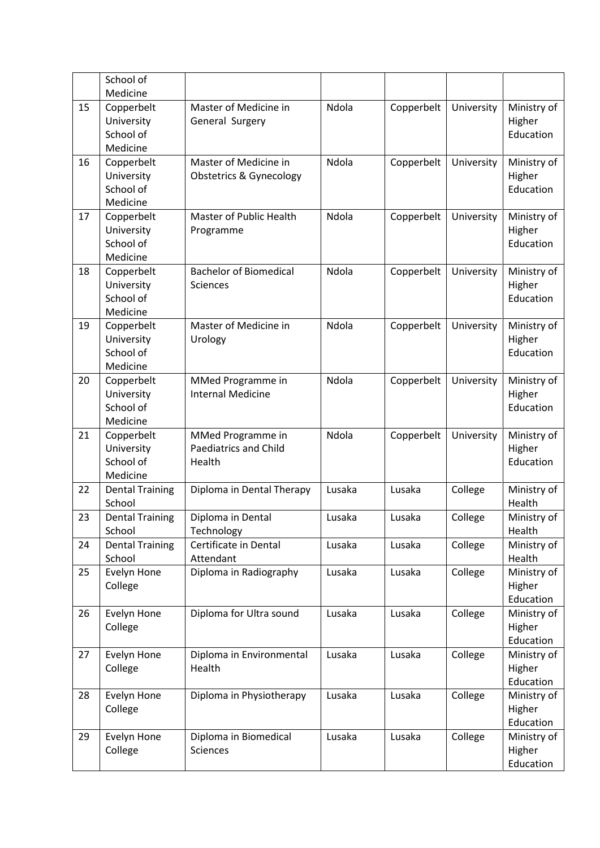|    | School of               |                                    |        |            |            |                       |
|----|-------------------------|------------------------------------|--------|------------|------------|-----------------------|
|    | Medicine                |                                    |        |            |            |                       |
| 15 | Copperbelt              | Master of Medicine in              | Ndola  | Copperbelt | University | Ministry of           |
|    | University              | General Surgery                    |        |            |            | Higher                |
|    | School of               |                                    |        |            |            | Education             |
|    | Medicine                |                                    |        |            |            |                       |
| 16 | Copperbelt              | Master of Medicine in              | Ndola  | Copperbelt | University | Ministry of           |
|    | University<br>School of | <b>Obstetrics &amp; Gynecology</b> |        |            |            | Higher<br>Education   |
|    | Medicine                |                                    |        |            |            |                       |
| 17 | Copperbelt              | Master of Public Health            | Ndola  | Copperbelt | University | Ministry of           |
|    | University              | Programme                          |        |            |            | Higher                |
|    | School of               |                                    |        |            |            | Education             |
|    | Medicine                |                                    |        |            |            |                       |
| 18 | Copperbelt              | <b>Bachelor of Biomedical</b>      | Ndola  | Copperbelt | University | Ministry of           |
|    | University              | Sciences                           |        |            |            | Higher                |
|    | School of               |                                    |        |            |            | Education             |
|    | Medicine                |                                    |        |            |            |                       |
| 19 | Copperbelt              | Master of Medicine in              | Ndola  | Copperbelt | University | Ministry of           |
|    | University              | Urology                            |        |            |            | Higher                |
|    | School of               |                                    |        |            |            | Education             |
|    | Medicine                |                                    |        |            |            |                       |
| 20 | Copperbelt              | MMed Programme in                  | Ndola  | Copperbelt | University | Ministry of           |
|    | University              | <b>Internal Medicine</b>           |        |            |            | Higher                |
|    | School of               |                                    |        |            |            | Education             |
|    | Medicine                |                                    |        |            |            |                       |
| 21 | Copperbelt              | MMed Programme in                  | Ndola  | Copperbelt | University | Ministry of           |
|    | University<br>School of | Paediatrics and Child<br>Health    |        |            |            | Higher<br>Education   |
|    | Medicine                |                                    |        |            |            |                       |
| 22 | <b>Dental Training</b>  | Diploma in Dental Therapy          | Lusaka | Lusaka     | College    | Ministry of           |
|    | School                  |                                    |        |            |            | Health                |
| 23 | <b>Dental Training</b>  | Diploma in Dental                  | Lusaka | Lusaka     | College    | Ministry of           |
|    | School                  | Technology                         |        |            |            | Health                |
| 24 | <b>Dental Training</b>  | Certificate in Dental              | Lusaka | Lusaka     | College    | Ministry of           |
|    | School                  | Attendant                          |        |            |            | Health                |
| 25 | Evelyn Hone             | Diploma in Radiography             | Lusaka | Lusaka     | College    | Ministry of           |
|    | College                 |                                    |        |            |            | Higher                |
|    |                         |                                    |        |            |            | Education             |
| 26 | Evelyn Hone             | Diploma for Ultra sound            | Lusaka | Lusaka     | College    | Ministry of           |
|    | College                 |                                    |        |            |            | Higher                |
|    |                         |                                    |        |            |            | Education             |
| 27 | Evelyn Hone             | Diploma in Environmental           | Lusaka | Lusaka     | College    | Ministry of           |
|    | College                 | Health                             |        |            |            | Higher                |
|    |                         |                                    |        |            |            | Education             |
| 28 | Evelyn Hone<br>College  | Diploma in Physiotherapy           | Lusaka | Lusaka     | College    | Ministry of<br>Higher |
|    |                         |                                    |        |            |            | Education             |
| 29 | Evelyn Hone             | Diploma in Biomedical              | Lusaka | Lusaka     | College    | Ministry of           |
|    | College                 | <b>Sciences</b>                    |        |            |            | Higher                |
|    |                         |                                    |        |            |            | Education             |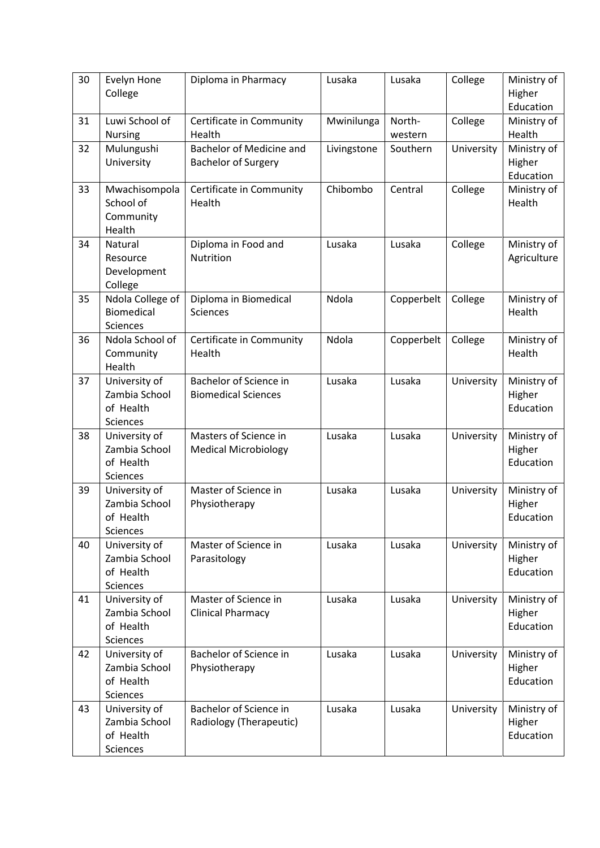| 30 | Evelyn Hone<br>College                                         | Diploma in Pharmacy                                    | Lusaka      | Lusaka            | College    | Ministry of<br>Higher<br>Education |
|----|----------------------------------------------------------------|--------------------------------------------------------|-------------|-------------------|------------|------------------------------------|
| 31 | Luwi School of<br><b>Nursing</b>                               | Certificate in Community<br>Health                     | Mwinilunga  | North-<br>western | College    | Ministry of<br>Health              |
| 32 | Mulungushi<br>University                                       | Bachelor of Medicine and<br><b>Bachelor of Surgery</b> | Livingstone | Southern          | University | Ministry of<br>Higher<br>Education |
| 33 | Mwachisompola<br>School of<br>Community<br>Health              | Certificate in Community<br>Health                     | Chibombo    | Central           | College    | Ministry of<br>Health              |
| 34 | Natural<br>Resource<br>Development<br>College                  | Diploma in Food and<br>Nutrition                       | Lusaka      | Lusaka            | College    | Ministry of<br>Agriculture         |
| 35 | Ndola College of<br><b>Biomedical</b><br>Sciences              | Diploma in Biomedical<br><b>Sciences</b>               | Ndola       | Copperbelt        | College    | Ministry of<br>Health              |
| 36 | Ndola School of<br>Community<br>Health                         | Ndola<br>Certificate in Community<br>Health            |             | Copperbelt        | College    | Ministry of<br>Health              |
| 37 | University of<br>Zambia School<br>of Health<br>Sciences        | Bachelor of Science in<br><b>Biomedical Sciences</b>   | Lusaka      | Lusaka            | University | Ministry of<br>Higher<br>Education |
| 38 | University of<br>Zambia School<br>of Health<br>Sciences        | Masters of Science in<br><b>Medical Microbiology</b>   | Lusaka      | Lusaka            | University | Ministry of<br>Higher<br>Education |
| 39 | University of<br>Zambia School<br>of Health<br>Sciences        | Master of Science in<br>Physiotherapy                  | Lusaka      | Lusaka            | University | Ministry of<br>Higher<br>Education |
| 40 | University of<br>Zambia School<br>of Health<br><b>Sciences</b> | Master of Science in<br>Parasitology                   | Lusaka      | Lusaka            | University | Ministry of<br>Higher<br>Education |
| 41 | University of<br>Zambia School<br>of Health<br><b>Sciences</b> | Master of Science in<br><b>Clinical Pharmacy</b>       | Lusaka      | Lusaka            | University | Ministry of<br>Higher<br>Education |
| 42 | University of<br>Zambia School<br>of Health<br>Sciences        | Bachelor of Science in<br>Physiotherapy                | Lusaka      | Lusaka            | University | Ministry of<br>Higher<br>Education |
| 43 | University of<br>Zambia School<br>of Health<br>Sciences        | Bachelor of Science in<br>Radiology (Therapeutic)      | Lusaka      | Lusaka            | University | Ministry of<br>Higher<br>Education |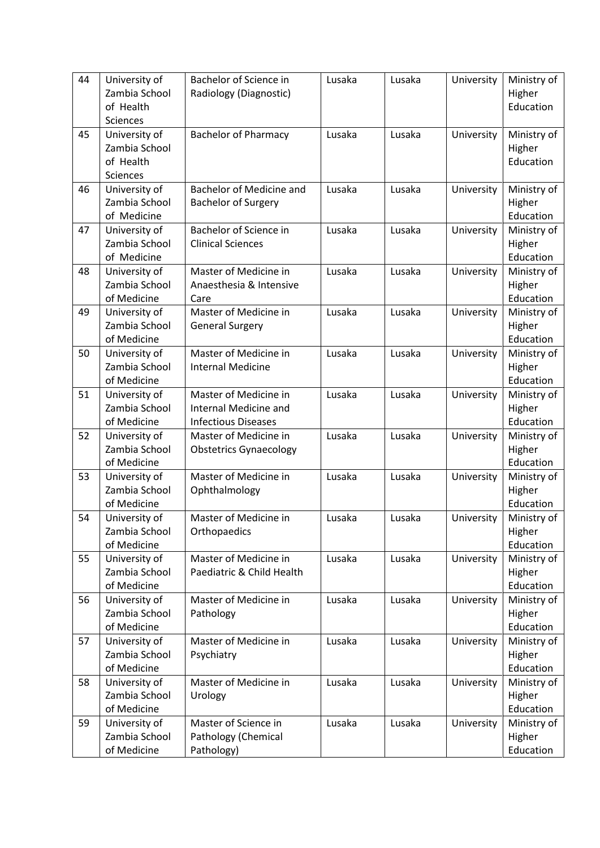| 44 | University of<br>Zambia School<br>of Health             | Bachelor of Science in<br>Radiology (Diagnostic)                             | Lusaka | Lusaka | University | Ministry of<br>Higher<br>Education |
|----|---------------------------------------------------------|------------------------------------------------------------------------------|--------|--------|------------|------------------------------------|
|    | Sciences                                                |                                                                              |        |        |            |                                    |
| 45 | University of<br>Zambia School<br>of Health<br>Sciences | <b>Bachelor of Pharmacy</b>                                                  | Lusaka | Lusaka | University | Ministry of<br>Higher<br>Education |
| 46 | University of<br>Zambia School<br>of Medicine           | <b>Bachelor of Medicine and</b><br><b>Bachelor of Surgery</b>                | Lusaka | Lusaka | University | Ministry of<br>Higher<br>Education |
| 47 | University of<br>Zambia School<br>of Medicine           | Bachelor of Science in<br><b>Clinical Sciences</b>                           | Lusaka | Lusaka | University | Ministry of<br>Higher<br>Education |
| 48 | University of<br>Zambia School<br>of Medicine           | Master of Medicine in<br>Lusaka<br>Anaesthesia & Intensive<br>Care           |        | Lusaka | University | Ministry of<br>Higher<br>Education |
| 49 | University of<br>Zambia School<br>of Medicine           | Master of Medicine in<br><b>General Surgery</b>                              | Lusaka | Lusaka | University | Ministry of<br>Higher<br>Education |
| 50 | University of<br>Zambia School<br>of Medicine           | Master of Medicine in<br><b>Internal Medicine</b>                            | Lusaka | Lusaka | University | Ministry of<br>Higher<br>Education |
| 51 | University of<br>Zambia School<br>of Medicine           | Master of Medicine in<br>Internal Medicine and<br><b>Infectious Diseases</b> | Lusaka | Lusaka | University | Ministry of<br>Higher<br>Education |
| 52 | University of<br>Zambia School<br>of Medicine           | Master of Medicine in<br><b>Obstetrics Gynaecology</b>                       | Lusaka | Lusaka | University | Ministry of<br>Higher<br>Education |
| 53 | University of<br>Zambia School<br>of Medicine           | Master of Medicine in<br>Ophthalmology                                       | Lusaka | Lusaka | University | Ministry of<br>Higher<br>Education |
| 54 | University of<br>Zambia School<br>of Medicine           | Master of Medicine in<br>Orthopaedics                                        | Lusaka | Lusaka | University | Ministry of<br>Higher<br>Education |
| 55 | University of<br>Zambia School<br>of Medicine           | Master of Medicine in<br>Paediatric & Child Health                           | Lusaka | Lusaka | University | Ministry of<br>Higher<br>Education |
| 56 | University of<br>Zambia School<br>of Medicine           | Master of Medicine in<br>Pathology                                           | Lusaka | Lusaka | University | Ministry of<br>Higher<br>Education |
| 57 | University of<br>Zambia School<br>of Medicine           | Master of Medicine in<br>Psychiatry                                          | Lusaka | Lusaka | University | Ministry of<br>Higher<br>Education |
| 58 | University of<br>Zambia School<br>of Medicine           | Master of Medicine in<br>Urology                                             | Lusaka | Lusaka | University | Ministry of<br>Higher<br>Education |
| 59 | University of<br>Zambia School<br>of Medicine           | Master of Science in<br>Pathology (Chemical<br>Pathology)                    | Lusaka | Lusaka | University | Ministry of<br>Higher<br>Education |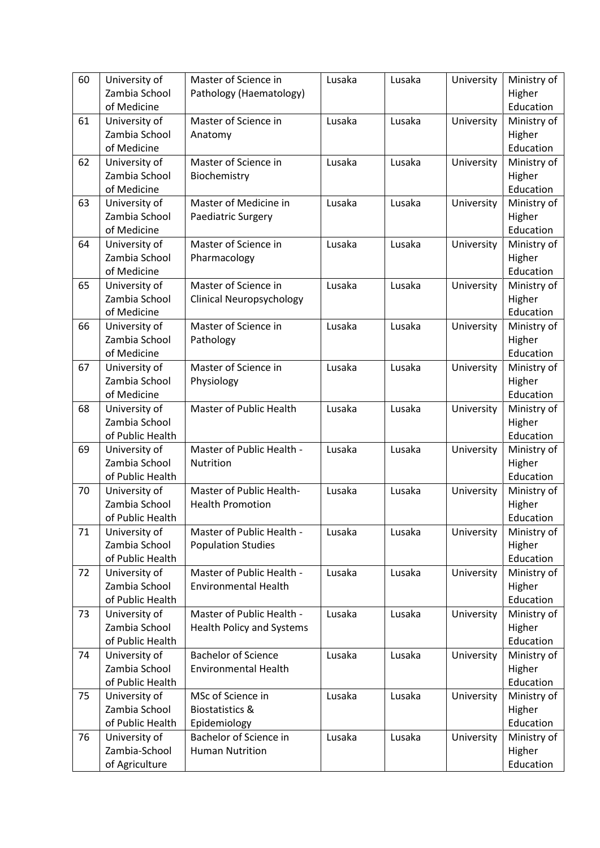| 60 | University of    | Master of Science in             | Lusaka | Lusaka | University | Ministry of |
|----|------------------|----------------------------------|--------|--------|------------|-------------|
|    | Zambia School    | Pathology (Haematology)          |        |        |            | Higher      |
|    | of Medicine      |                                  |        |        |            | Education   |
| 61 | University of    | Master of Science in             | Lusaka | Lusaka | University | Ministry of |
|    | Zambia School    | Anatomy                          |        |        |            | Higher      |
|    | of Medicine      |                                  |        |        |            | Education   |
| 62 | University of    | Master of Science in             | Lusaka | Lusaka | University | Ministry of |
|    | Zambia School    | Biochemistry                     |        |        |            | Higher      |
|    | of Medicine      |                                  |        |        |            | Education   |
| 63 | University of    | Master of Medicine in            | Lusaka | Lusaka | University | Ministry of |
|    | Zambia School    | Paediatric Surgery               |        |        |            | Higher      |
|    | of Medicine      |                                  |        |        |            | Education   |
| 64 | University of    | Master of Science in             | Lusaka | Lusaka | University | Ministry of |
|    | Zambia School    | Pharmacology                     |        |        |            | Higher      |
|    | of Medicine      |                                  |        |        |            | Education   |
| 65 | University of    | Master of Science in             | Lusaka | Lusaka | University | Ministry of |
|    | Zambia School    | <b>Clinical Neuropsychology</b>  |        |        |            | Higher      |
|    | of Medicine      |                                  |        |        |            | Education   |
| 66 | University of    | Master of Science in             | Lusaka | Lusaka | University | Ministry of |
|    | Zambia School    | Pathology                        |        |        |            | Higher      |
|    | of Medicine      |                                  |        |        |            | Education   |
| 67 | University of    | Master of Science in             | Lusaka | Lusaka | University | Ministry of |
|    | Zambia School    | Physiology                       |        |        |            | Higher      |
|    | of Medicine      |                                  |        |        |            | Education   |
| 68 | University of    | Master of Public Health          | Lusaka | Lusaka | University | Ministry of |
|    | Zambia School    |                                  |        |        |            | Higher      |
|    | of Public Health |                                  |        |        |            | Education   |
| 69 | University of    | Master of Public Health -        | Lusaka | Lusaka | University | Ministry of |
|    | Zambia School    | Nutrition                        |        |        |            | Higher      |
|    | of Public Health |                                  |        |        |            | Education   |
| 70 | University of    | Master of Public Health-         | Lusaka | Lusaka | University | Ministry of |
|    | Zambia School    | <b>Health Promotion</b>          |        |        |            | Higher      |
|    | of Public Health |                                  |        |        |            | Education   |
| 71 | University of    | Master of Public Health -        | Lusaka | Lusaka | University | Ministry of |
|    | Zambia School    | <b>Population Studies</b>        |        |        |            | Higher      |
|    | of Public Health |                                  |        |        |            | Education   |
| 72 | University of    | Master of Public Health -        | Lusaka | Lusaka | University | Ministry of |
|    | Zambia School    | <b>Environmental Health</b>      |        |        |            | Higher      |
|    | of Public Health |                                  |        |        |            | Education   |
| 73 | University of    | Master of Public Health -        | Lusaka | Lusaka | University | Ministry of |
|    | Zambia School    | <b>Health Policy and Systems</b> |        |        |            | Higher      |
|    | of Public Health |                                  |        |        |            | Education   |
| 74 | University of    | <b>Bachelor of Science</b>       | Lusaka | Lusaka | University | Ministry of |
|    | Zambia School    | <b>Environmental Health</b>      |        |        |            | Higher      |
|    | of Public Health |                                  |        |        |            | Education   |
| 75 | University of    | MSc of Science in                | Lusaka | Lusaka | University | Ministry of |
|    | Zambia School    | <b>Biostatistics &amp;</b>       |        |        |            | Higher      |
|    | of Public Health | Epidemiology                     |        |        |            | Education   |
| 76 | University of    | Bachelor of Science in           | Lusaka | Lusaka | University | Ministry of |
|    | Zambia-School    | <b>Human Nutrition</b>           |        |        |            | Higher      |
|    | of Agriculture   |                                  |        |        |            | Education   |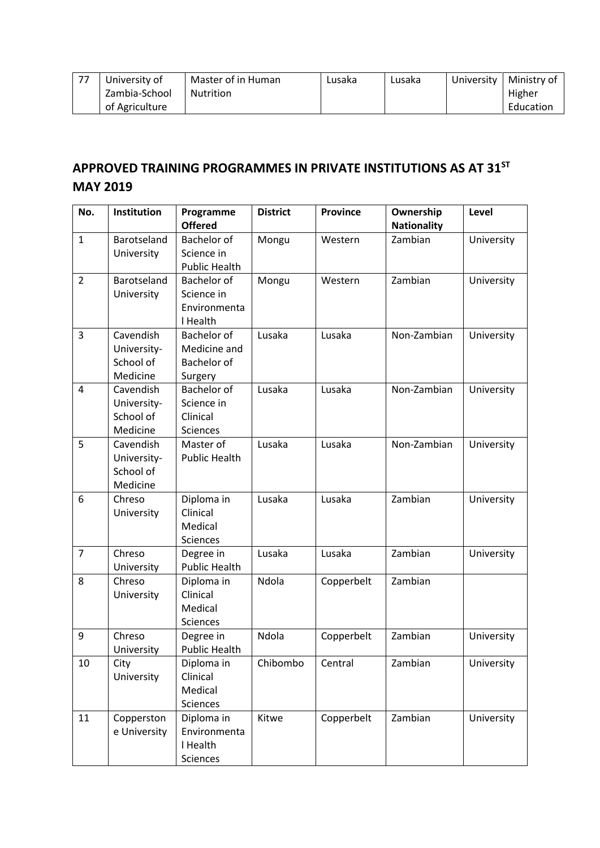| 77 | University of  | Master of in Human | Lusaka | Lusaka | University | Ministry of |
|----|----------------|--------------------|--------|--------|------------|-------------|
|    | Zambia-School  | Nutrition          |        |        |            | Higher      |
|    | of Agriculture |                    |        |        |            | Education   |

## **APPROVED TRAINING PROGRAMMES IN PRIVATE INSTITUTIONS AS AT 31ST MAY 2019**

| No.            | Institution                                       | Programme<br><b>Offered</b>                                         | <b>District</b> | <b>Province</b> | Ownership<br><b>Nationality</b> | Level      |
|----------------|---------------------------------------------------|---------------------------------------------------------------------|-----------------|-----------------|---------------------------------|------------|
| $\mathbf{1}$   | Barotseland<br>University                         | Bachelor of<br>Science in<br><b>Public Health</b>                   | Mongu           | Western         | Zambian                         | University |
| $\overline{2}$ | Barotseland<br>University                         | <b>Bachelor of</b><br>Science in<br>Environmenta<br>I Health        | Mongu           | Western         | Zambian                         | University |
| 3              | Cavendish<br>University-<br>School of<br>Medicine | <b>Bachelor of</b><br>Medicine and<br><b>Bachelor</b> of<br>Surgery | Lusaka          | Lusaka          | Non-Zambian                     | University |
| 4              | Cavendish<br>University-<br>School of<br>Medicine | <b>Bachelor of</b><br>Science in<br>Clinical<br><b>Sciences</b>     | Lusaka          | Lusaka          | Non-Zambian                     | University |
| 5              | Cavendish<br>University-<br>School of<br>Medicine | Master of<br><b>Public Health</b>                                   | Lusaka          | Lusaka          | Non-Zambian                     | University |
| 6              | Chreso<br>University                              | Diploma in<br>Clinical<br>Medical<br><b>Sciences</b>                | Lusaka          | Lusaka          | Zambian                         | University |
| $\overline{7}$ | Chreso<br>University                              | Degree in<br><b>Public Health</b>                                   | Lusaka          | Lusaka          | Zambian                         | University |
| 8              | Chreso<br>University                              | Diploma in<br>Clinical<br>Medical<br><b>Sciences</b>                | Ndola           | Copperbelt      | Zambian                         |            |
| 9              | Chreso<br>University                              | Degree in<br><b>Public Health</b>                                   | Ndola           | Copperbelt      | Zambian                         | University |
| 10             | City<br>University                                | Diploma in<br>Clinical<br>Medical<br>Sciences                       | Chibombo        | Central         | Zambian                         | University |
| 11             | Copperston<br>e University                        | Diploma in<br>Environmenta<br>I Health<br>Sciences                  | Kitwe           | Copperbelt      | Zambian                         | University |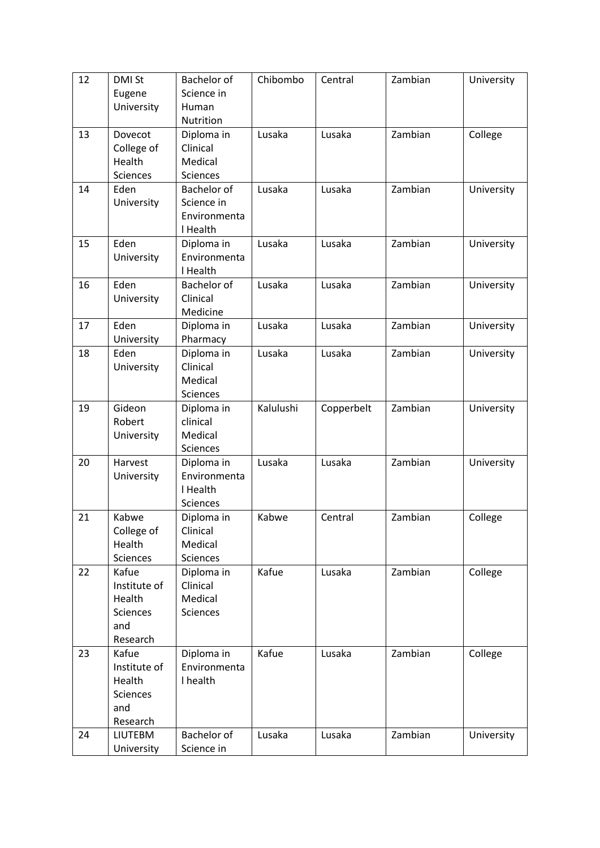| 12 | <b>DMI St</b>          | Bachelor of              | Chibombo  | Central    | Zambian | University |
|----|------------------------|--------------------------|-----------|------------|---------|------------|
|    | Eugene                 | Science in               |           |            |         |            |
|    | University             | Human                    |           |            |         |            |
|    |                        | Nutrition                |           |            |         |            |
| 13 | Dovecot                | Diploma in               | Lusaka    | Lusaka     | Zambian | College    |
|    | College of             | Clinical                 |           |            |         |            |
|    | Health                 | Medical                  |           |            |         |            |
|    | <b>Sciences</b>        | Sciences                 |           |            |         |            |
| 14 | Eden                   | Bachelor of              | Lusaka    | Lusaka     | Zambian | University |
|    | University             | Science in               |           |            |         |            |
|    |                        | Environmenta             |           |            |         |            |
|    |                        | I Health                 |           |            |         |            |
| 15 | Eden                   | Diploma in               | Lusaka    | Lusaka     | Zambian | University |
|    | University             | Environmenta<br>I Health |           |            |         |            |
| 16 | Eden                   | Bachelor of              | Lusaka    | Lusaka     | Zambian | University |
|    | University             | Clinical                 |           |            |         |            |
|    |                        | Medicine                 |           |            |         |            |
| 17 | Eden                   | Diploma in               | Lusaka    | Lusaka     | Zambian | University |
|    | University             | Pharmacy                 |           |            |         |            |
| 18 | Eden                   | Diploma in               | Lusaka    | Lusaka     | Zambian | University |
|    | University             | Clinical                 |           |            |         |            |
|    |                        | Medical                  |           |            |         |            |
|    |                        | Sciences                 |           |            |         |            |
| 19 | Gideon                 | Diploma in               | Kalulushi | Copperbelt | Zambian | University |
|    | Robert                 | clinical                 |           |            |         |            |
|    | University             | Medical                  |           |            |         |            |
|    |                        | Sciences                 |           |            |         |            |
| 20 | Harvest                | Diploma in               | Lusaka    | Lusaka     | Zambian | University |
|    | University             | Environmenta             |           |            |         |            |
|    |                        | I Health                 |           |            |         |            |
|    |                        | Sciences                 |           |            |         |            |
| 21 | Kabwe                  | Diploma in               | Kabwe     | Central    | Zambian | College    |
|    | College of             | Clinical                 |           |            |         |            |
|    | Health                 | Medical                  |           |            |         |            |
|    | Sciences               | Sciences                 |           |            |         |            |
| 22 | Kafue                  | Diploma in               | Kafue     | Lusaka     | Zambian | College    |
|    | Institute of           | Clinical                 |           |            |         |            |
|    | Health                 | Medical                  |           |            |         |            |
|    | <b>Sciences</b><br>and | Sciences                 |           |            |         |            |
|    | Research               |                          |           |            |         |            |
| 23 | Kafue                  | Diploma in               | Kafue     | Lusaka     | Zambian | College    |
|    | Institute of           | Environmenta             |           |            |         |            |
|    | Health                 | I health                 |           |            |         |            |
|    | Sciences               |                          |           |            |         |            |
|    | and                    |                          |           |            |         |            |
|    | Research               |                          |           |            |         |            |
| 24 | <b>LIUTEBM</b>         | Bachelor of              | Lusaka    | Lusaka     | Zambian | University |
|    | University             | Science in               |           |            |         |            |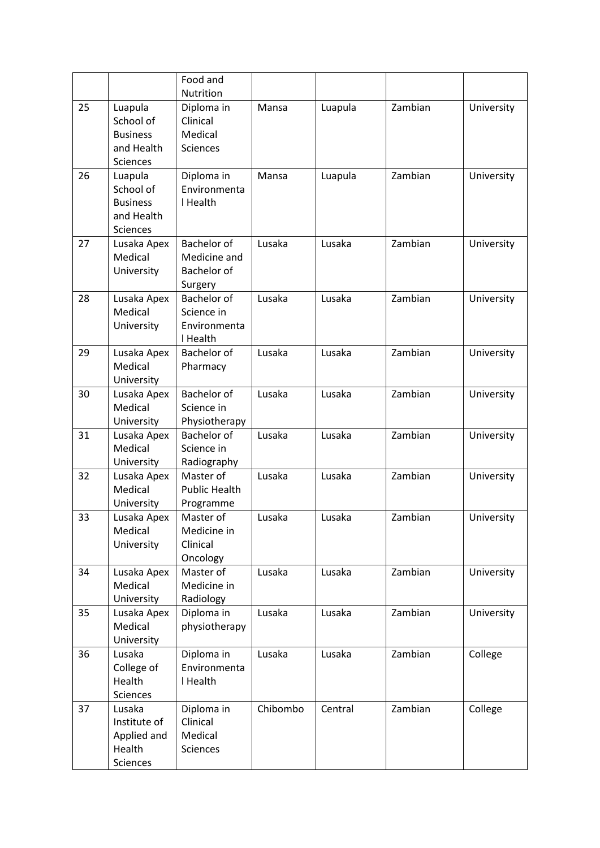|    |                                                                          | Food and                                                     |          |         |         |            |
|----|--------------------------------------------------------------------------|--------------------------------------------------------------|----------|---------|---------|------------|
|    |                                                                          | Nutrition                                                    |          |         |         |            |
| 25 | Luapula<br>School of<br><b>Business</b><br>and Health<br><b>Sciences</b> | Diploma in<br>Clinical<br>Medical<br><b>Sciences</b>         | Mansa    | Luapula | Zambian | University |
| 26 | Luapula<br>School of<br><b>Business</b><br>and Health<br><b>Sciences</b> | Diploma in<br>Environmenta<br>I Health                       | Mansa    | Luapula | Zambian | University |
| 27 | Lusaka Apex<br>Medical<br>University                                     | Bachelor of<br>Medicine and<br>Bachelor of<br>Surgery        | Lusaka   | Lusaka  | Zambian | University |
| 28 | Lusaka Apex<br>Medical<br>University                                     | <b>Bachelor of</b><br>Science in<br>Environmenta<br>I Health | Lusaka   | Lusaka  | Zambian | University |
| 29 | Lusaka Apex<br>Medical<br>University                                     | Bachelor of<br>Pharmacy                                      | Lusaka   | Lusaka  | Zambian | University |
| 30 | Lusaka Apex<br>Medical<br>University                                     | Bachelor of<br>Science in<br>Physiotherapy                   | Lusaka   | Lusaka  | Zambian | University |
| 31 | Lusaka Apex<br>Medical<br>University                                     | Bachelor of<br>Science in<br>Radiography                     | Lusaka   | Lusaka  | Zambian | University |
| 32 | Lusaka Apex<br>Medical<br>University                                     | Master of<br><b>Public Health</b><br>Programme               | Lusaka   | Lusaka  | Zambian | University |
| 33 | Lusaka Apex<br>Medical<br>University                                     | Master of<br>Medicine in<br>Clinical<br>Oncology             | Lusaka   | Lusaka  | Zambian | University |
| 34 | Lusaka Apex<br>Medical<br>University                                     | Master of<br>Medicine in<br>Radiology                        | Lusaka   | Lusaka  | Zambian | University |
| 35 | Lusaka Apex<br>Medical<br>University                                     | Diploma in<br>physiotherapy                                  | Lusaka   | Lusaka  | Zambian | University |
| 36 | Lusaka<br>College of<br>Health<br>Sciences                               | Diploma in<br>Environmenta<br>I Health                       | Lusaka   | Lusaka  | Zambian | College    |
| 37 | Lusaka<br>Institute of<br>Applied and<br>Health<br>Sciences              | Diploma in<br>Clinical<br>Medical<br>Sciences                | Chibombo | Central | Zambian | College    |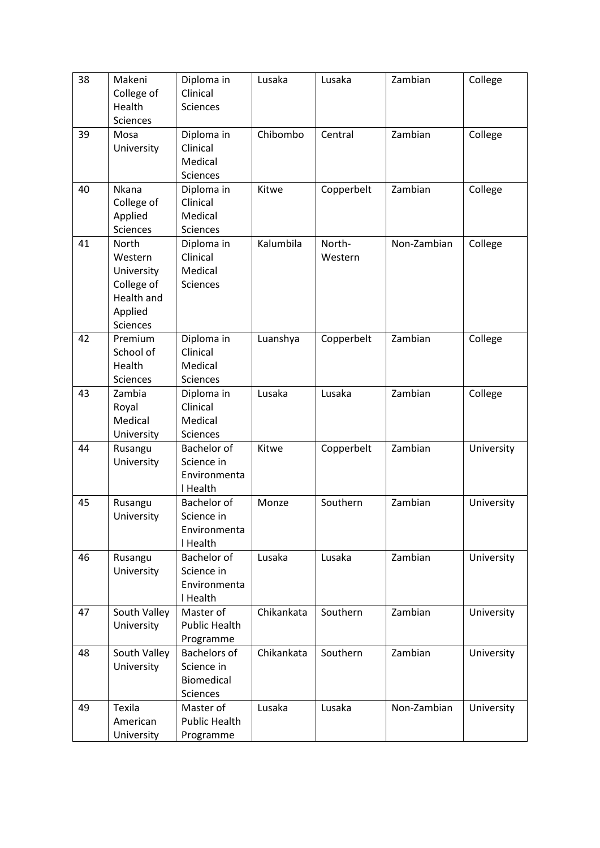| 38 | Makeni<br>College of<br>Health<br><b>Sciences</b>                                        | Diploma in<br>Clinical<br>Sciences                          | Lusaka     | Lusaka            | Zambian     | College    |
|----|------------------------------------------------------------------------------------------|-------------------------------------------------------------|------------|-------------------|-------------|------------|
| 39 | Mosa<br>University                                                                       | Diploma in<br>Clinical<br>Medical<br>Sciences               | Chibombo   | Central           | Zambian     | College    |
| 40 | Nkana<br>College of<br>Applied<br><b>Sciences</b>                                        | Diploma in<br>Clinical<br>Medical<br>Sciences               | Kitwe      | Copperbelt        | Zambian     | College    |
| 41 | North<br>Western<br>University<br>College of<br>Health and<br>Applied<br><b>Sciences</b> | Diploma in<br>Clinical<br>Medical<br><b>Sciences</b>        | Kalumbila  | North-<br>Western | Non-Zambian | College    |
| 42 | Premium<br>School of<br>Health<br>Sciences                                               | Diploma in<br>Clinical<br>Medical<br><b>Sciences</b>        | Luanshya   | Copperbelt        | Zambian     | College    |
| 43 | Zambia<br>Royal<br>Medical<br>University                                                 | Diploma in<br>Clinical<br>Medical<br>Sciences               | Lusaka     | Lusaka            | Zambian     | College    |
| 44 | Rusangu<br>University                                                                    | Bachelor of<br>Science in<br>Environmenta<br>I Health       | Kitwe      | Copperbelt        | Zambian     | University |
| 45 | Rusangu<br>University                                                                    | Bachelor of<br>Science in<br>Environmenta<br>I Health       | Monze      | Southern          | Zambian     | University |
| 46 | Rusangu<br>University                                                                    | Bachelor of<br>Science in<br>Environmenta<br>I Health       | Lusaka     | Lusaka            | Zambian     | University |
| 47 | South Valley<br>University                                                               | Master of<br><b>Public Health</b><br>Programme              | Chikankata | Southern          | Zambian     | University |
| 48 | South Valley<br>University                                                               | <b>Bachelors of</b><br>Science in<br>Biomedical<br>Sciences | Chikankata | Southern          | Zambian     | University |
| 49 | Texila<br>American<br>University                                                         | Master of<br><b>Public Health</b><br>Programme              | Lusaka     | Lusaka            | Non-Zambian | University |